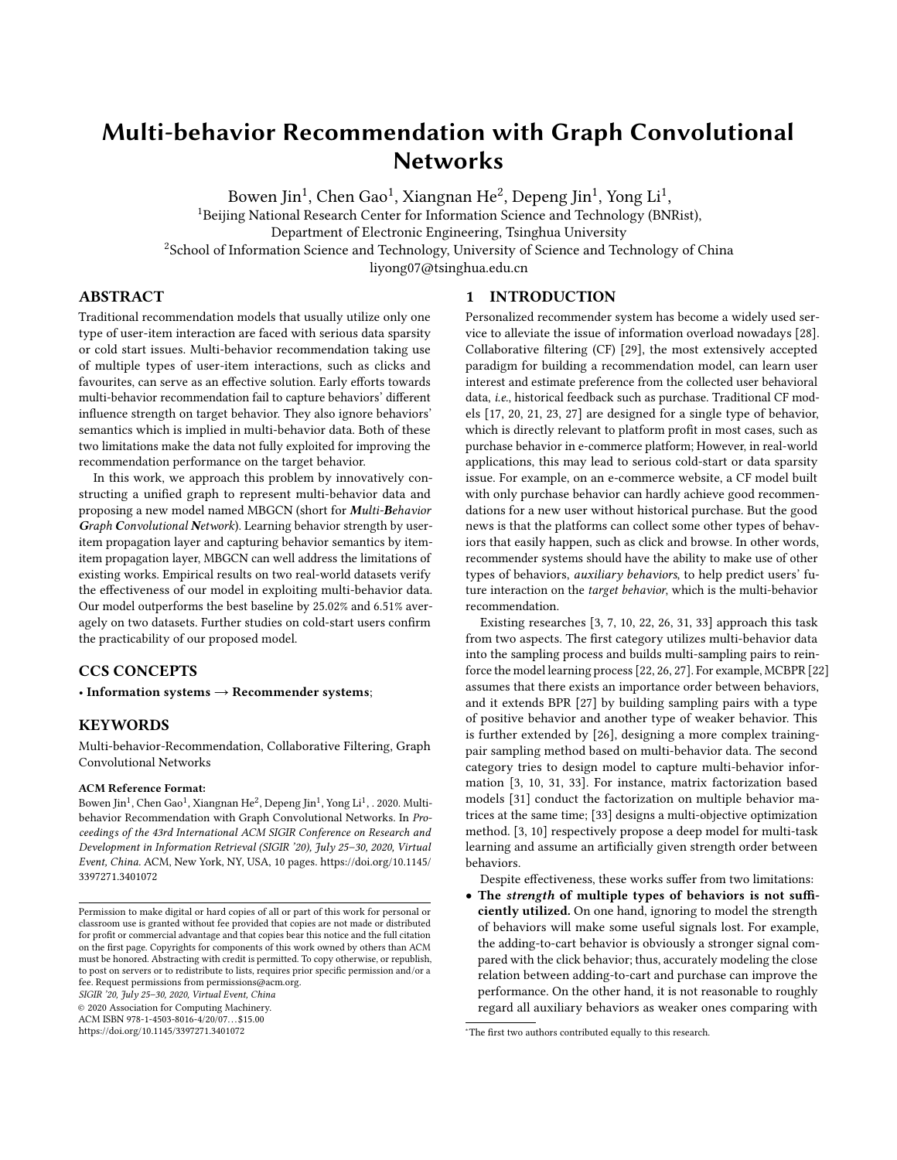## <span id="page-0-0"></span>Multi-behavior Recommendation with Graph Convolutional **Networks**

Bowen Jin $^1$ , Chen Gao $^1$ , Xiangnan He $^2$ , Depeng Jin $^1$ , Yong Li $^1$ , <sup>1</sup>Beijing National Research Center for Information Science and Technology (BNRist), Department of Electronic Engineering, Tsinghua University <sup>2</sup>School of Information Science and Technology, University of Science and Technology of China liyong07@tsinghua.edu.cn

## ABSTRACT

Traditional recommendation models that usually utilize only one type of user-item interaction are faced with serious data sparsity or cold start issues. Multi-behavior recommendation taking use of multiple types of user-item interactions, such as clicks and favourites, can serve as an effective solution. Early efforts towards multi-behavior recommendation fail to capture behaviors' different influence strength on target behavior. They also ignore behaviors' semantics which is implied in multi-behavior data. Both of these two limitations make the data not fully exploited for improving the recommendation performance on the target behavior.

In this work, we approach this problem by innovatively constructing a unified graph to represent multi-behavior data and proposing a new model named MBGCN (short for Multi-Behavior Graph Convolutional Network). Learning behavior strength by useritem propagation layer and capturing behavior semantics by itemitem propagation layer, MBGCN can well address the limitations of existing works. Empirical results on two real-world datasets verify the effectiveness of our model in exploiting multi-behavior data. Our model outperforms the best baseline by 25.02% and 6.51% averagely on two datasets. Further studies on cold-start users confirm the practicability of our proposed model.

## CCS CONCEPTS

• Information systems  $\rightarrow$  Recommender systems;

## **KEYWORDS**

Multi-behavior-Recommendation, Collaborative Filtering, Graph Convolutional Networks

#### ACM Reference Format:

Bowen Jin $^1$ , Chen Gao $^1$ , Xiangnan He $^2$ , Depeng Jin $^1$ , Yong Li $^1$ , . 2020. Multibehavior Recommendation with Graph Convolutional Networks. In Proceedings of the 43rd International ACM SIGIR Conference on Research and Development in Information Retrieval (SIGIR '20), July 25–30, 2020, Virtual Event, China. ACM, New York, NY, USA, [10](#page-9-0) pages. [https://doi.org/10.1145/](https://doi.org/10.1145/3397271.3401072) [3397271.3401072](https://doi.org/10.1145/3397271.3401072)

SIGIR '20, July 25–30, 2020, Virtual Event, China

© 2020 Association for Computing Machinery. ACM ISBN 978-1-4503-8016-4/20/07. . . \$15.00

<https://doi.org/10.1145/3397271.3401072>

#### 1 INTRODUCTION

Personalized recommender system has become a widely used service to alleviate the issue of information overload nowadays [\[28\]](#page-9-1). Collaborative filtering (CF) [\[29\]](#page-9-2), the most extensively accepted paradigm for building a recommendation model, can learn user interest and estimate preference from the collected user behavioral data, i.e., historical feedback such as purchase. Traditional CF models [\[17,](#page-9-3) [20,](#page-9-4) [21,](#page-9-5) [23,](#page-9-6) [27\]](#page-9-7) are designed for a single type of behavior, which is directly relevant to platform profit in most cases, such as purchase behavior in e-commerce platform; However, in real-world applications, this may lead to serious cold-start or data sparsity issue. For example, on an e-commerce website, a CF model built with only purchase behavior can hardly achieve good recommendations for a new user without historical purchase. But the good news is that the platforms can collect some other types of behaviors that easily happen, such as click and browse. In other words, recommender systems should have the ability to make use of other types of behaviors, auxiliary behaviors, to help predict users' future interaction on the target behavior, which is the multi-behavior recommendation.

Existing researches [\[3,](#page-9-8) [7,](#page-9-9) [10,](#page-9-10) [22,](#page-9-11) [26,](#page-9-12) [31,](#page-9-13) [33\]](#page-9-14) approach this task from two aspects. The first category utilizes multi-behavior data into the sampling process and builds multi-sampling pairs to reinforce the model learning process [\[22,](#page-9-11) [26,](#page-9-12) [27\]](#page-9-7). For example, MCBPR [\[22\]](#page-9-11) assumes that there exists an importance order between behaviors, and it extends BPR [\[27\]](#page-9-7) by building sampling pairs with a type of positive behavior and another type of weaker behavior. This is further extended by [\[26\]](#page-9-12), designing a more complex trainingpair sampling method based on multi-behavior data. The second category tries to design model to capture multi-behavior information [\[3,](#page-9-8) [10,](#page-9-10) [31,](#page-9-13) [33\]](#page-9-14). For instance, matrix factorization based models [\[31\]](#page-9-13) conduct the factorization on multiple behavior matrices at the same time; [\[33\]](#page-9-14) designs a multi-objective optimization method. [\[3,](#page-9-8) [10\]](#page-9-10) respectively propose a deep model for multi-task learning and assume an artificially given strength order between behaviors.

Despite effectiveness, these works suffer from two limitations:

• The strength of multiple types of behaviors is not sufficiently utilized. On one hand, ignoring to model the strength of behaviors will make some useful signals lost. For example, the adding-to-cart behavior is obviously a stronger signal compared with the click behavior; thus, accurately modeling the close relation between adding-to-cart and purchase can improve the performance. On the other hand, it is not reasonable to roughly regard all auxiliary behaviors as weaker ones comparing with

Permission to make digital or hard copies of all or part of this work for personal or classroom use is granted without fee provided that copies are not made or distributed for profit or commercial advantage and that copies bear this notice and the full citation on the first page. Copyrights for components of this work owned by others than ACM must be honored. Abstracting with credit is permitted. To copy otherwise, or republish, to post on servers or to redistribute to lists, requires prior specific permission and/or a fee. Request permissions from permissions@acm.org.

<sup>∗</sup>The first two authors contributed equally to this research.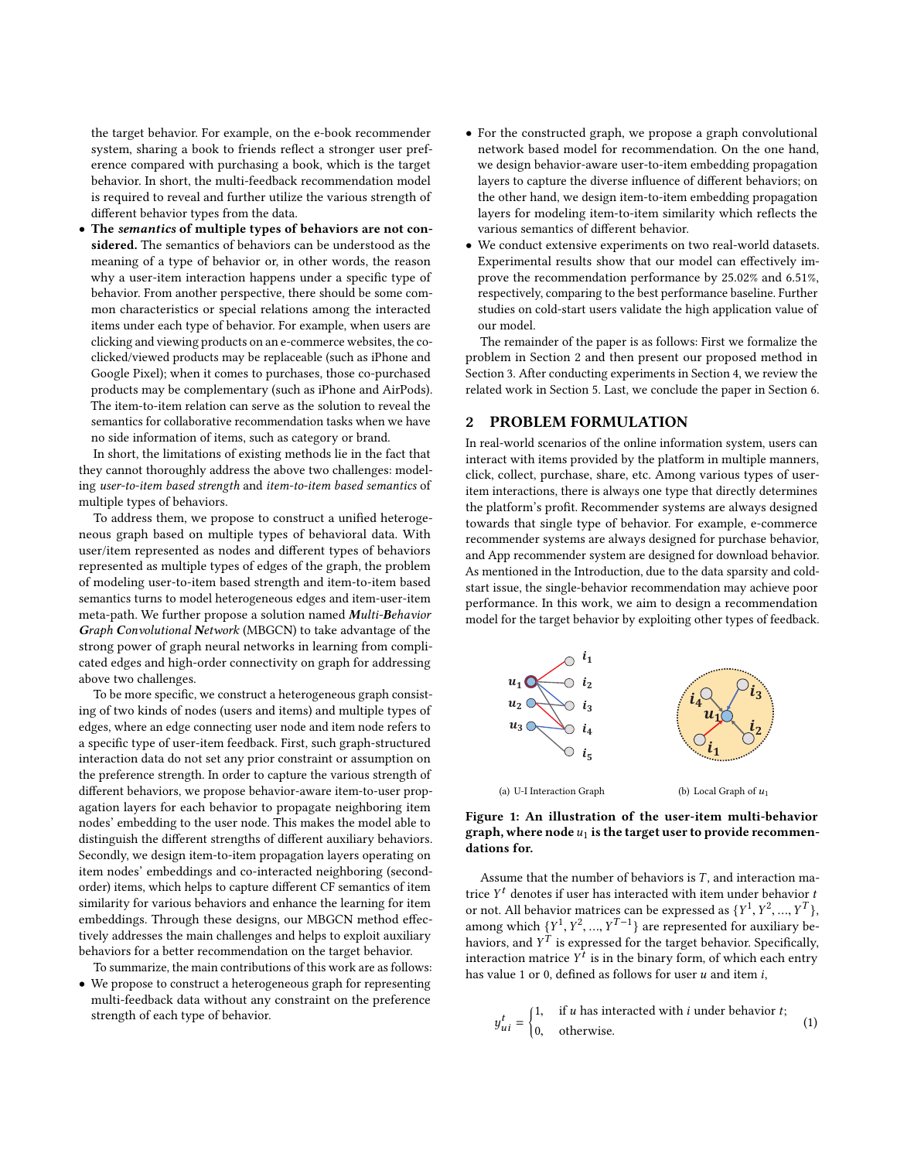the target behavior. For example, on the e-book recommender system, sharing a book to friends reflect a stronger user preference compared with purchasing a book, which is the target behavior. In short, the multi-feedback recommendation model is required to reveal and further utilize the various strength of different behavior types from the data.

• The semantics of multiple types of behaviors are not considered. The semantics of behaviors can be understood as the meaning of a type of behavior or, in other words, the reason why a user-item interaction happens under a specific type of behavior. From another perspective, there should be some common characteristics or special relations among the interacted items under each type of behavior. For example, when users are clicking and viewing products on an e-commerce websites, the coclicked/viewed products may be replaceable (such as iPhone and Google Pixel); when it comes to purchases, those co-purchased products may be complementary (such as iPhone and AirPods). The item-to-item relation can serve as the solution to reveal the semantics for collaborative recommendation tasks when we have no side information of items, such as category or brand.

In short, the limitations of existing methods lie in the fact that they cannot thoroughly address the above two challenges: modeling user-to-item based strength and item-to-item based semantics of multiple types of behaviors.

To address them, we propose to construct a unified heterogeneous graph based on multiple types of behavioral data. With user/item represented as nodes and different types of behaviors represented as multiple types of edges of the graph, the problem of modeling user-to-item based strength and item-to-item based semantics turns to model heterogeneous edges and item-user-item meta-path. We further propose a solution named Multi-Behavior Graph Convolutional Network (MBGCN) to take advantage of the strong power of graph neural networks in learning from complicated edges and high-order connectivity on graph for addressing above two challenges.

To be more specific, we construct a heterogeneous graph consisting of two kinds of nodes (users and items) and multiple types of edges, where an edge connecting user node and item node refers to a specific type of user-item feedback. First, such graph-structured interaction data do not set any prior constraint or assumption on the preference strength. In order to capture the various strength of different behaviors, we propose behavior-aware item-to-user propagation layers for each behavior to propagate neighboring item nodes' embedding to the user node. This makes the model able to distinguish the different strengths of different auxiliary behaviors. Secondly, we design item-to-item propagation layers operating on item nodes' embeddings and co-interacted neighboring (secondorder) items, which helps to capture different CF semantics of item similarity for various behaviors and enhance the learning for item embeddings. Through these designs, our MBGCN method effectively addresses the main challenges and helps to exploit auxiliary behaviors for a better recommendation on the target behavior.

To summarize, the main contributions of this work are as follows:

• We propose to construct a heterogeneous graph for representing multi-feedback data without any constraint on the preference strength of each type of behavior.

- For the constructed graph, we propose a graph convolutional network based model for recommendation. On the one hand, we design behavior-aware user-to-item embedding propagation layers to capture the diverse influence of different behaviors; on the other hand, we design item-to-item embedding propagation layers for modeling item-to-item similarity which reflects the various semantics of different behavior.
- We conduct extensive experiments on two real-world datasets. Experimental results show that our model can effectively improve the recommendation performance by 25.02% and 6.51%, respectively, comparing to the best performance baseline. Further studies on cold-start users validate the high application value of our model.

The remainder of the paper is as follows: First we formalize the problem in Section [2](#page-1-0) and then present our proposed method in Section [3.](#page-2-0) After conducting experiments in Section [4,](#page-5-0) we review the related work in Section [5.](#page-8-0) Last, we conclude the paper in Section [6.](#page-9-15)

## <span id="page-1-0"></span>2 PROBLEM FORMULATION

In real-world scenarios of the online information system, users can interact with items provided by the platform in multiple manners, click, collect, purchase, share, etc. Among various types of useritem interactions, there is always one type that directly determines the platform's profit. Recommender systems are always designed towards that single type of behavior. For example, e-commerce recommender systems are always designed for purchase behavior, and App recommender system are designed for download behavior. As mentioned in the Introduction, due to the data sparsity and coldstart issue, the single-behavior recommendation may achieve poor performance. In this work, we aim to design a recommendation model for the target behavior by exploiting other types of feedback.





Assume that the number of behaviors is  $T$ , and interaction matrice  $Y^t$  denotes if user has interacted with item under behavior to not. All behavior matrices can be expressed as  $\frac{Y^1}{Y^2}$   $\frac{Y^T}{Y^T}$ or not. All behavior matrices can be expressed as  $\{Y^1, Y^2, ..., Y^T\}$ among which  $\{Y^1, Y^2, ..., Y^{T-1}\}$  are represented for auxiliary be-<br>houjors, and  $Y^T$  is avancesed for the target behavior. Specifically haviors, and  $Y^{\tilde{T}}$  is expressed for the target behavior. Specifically, interaction matrice  $Y^{\tilde{T}}$  is in the binary form of which each entry interaction matrice  $Y^t$  is in the binary form, of which each entry<br>has value 1 or 0, defined as follows for user u and item i has value 1 or 0, defined as follows for user  $u$  and item  $i$ ,

$$
y_{ui}^t = \begin{cases} 1, & \text{if } u \text{ has interacted with } i \text{ under behavior } t; \\ 0, & \text{otherwise.} \end{cases}
$$
 (1)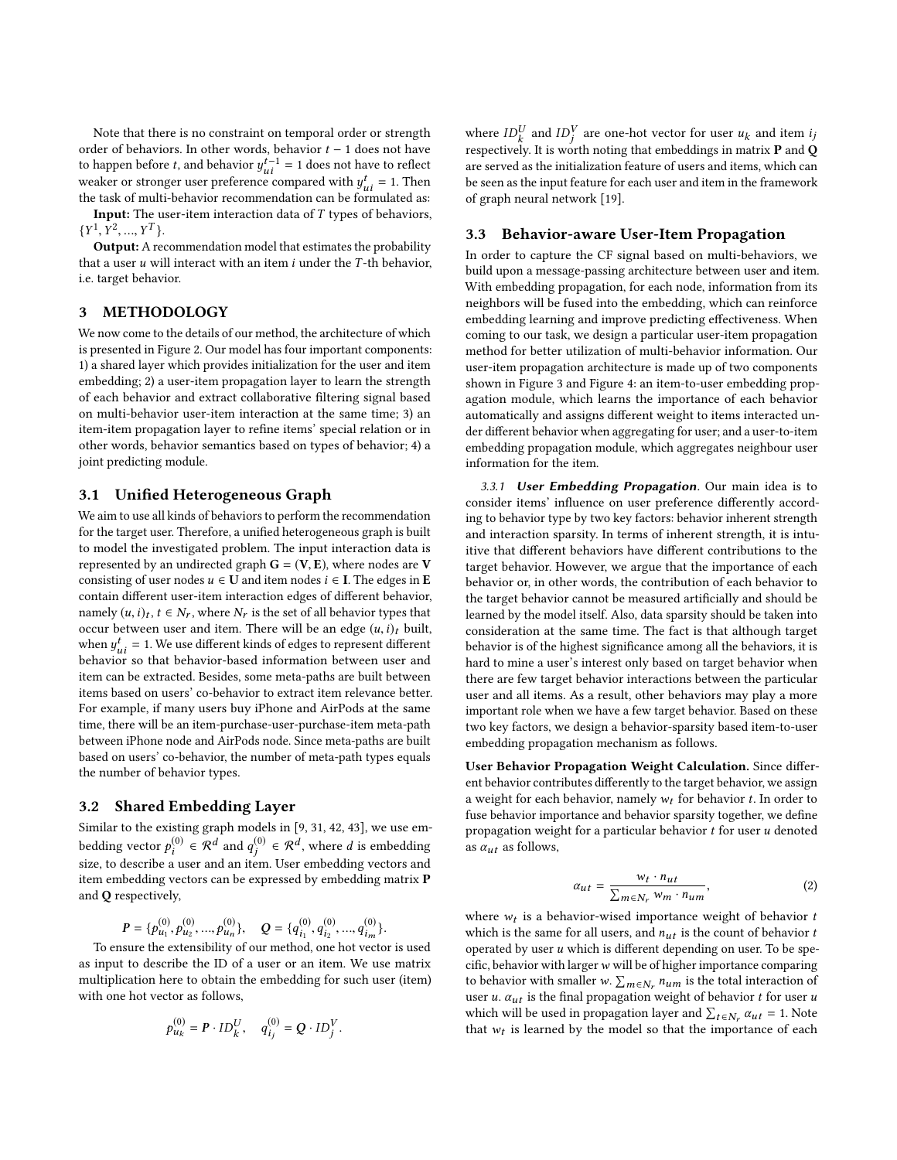Note that there is no constraint on temporal order or strength order of behaviors. In other words, behavior  $t - 1$  does not have to happen before *t*, and behavior  $y_{ui}^{t-1} = 1$  does not have to reflect weaker or stronger user preference compared with  $u^t = 1$ . Then weaker or stronger user preference compared with  $y_{ui}^t = 1$ . Then<br>the task of multi-behavior recommendation can be formulated as: the task of multi-behavior recommendation can be formulated as:

Input: The user-item interaction data of T types of behaviors,  $\{Y^1, Y^2, ..., Y^T\}.$ <br>Output: A red

Output: A recommendation model that estimates the probability that a user  $u$  will interact with an item  $i$  under the  $T$ -th behavior, i.e. target behavior.

#### <span id="page-2-0"></span>3 METHODOLOGY

We now come to the details of our method, the architecture of which is presented in Figure [2.](#page-3-0) Our model has four important components: 1) a shared layer which provides initialization for the user and item embedding; 2) a user-item propagation layer to learn the strength of each behavior and extract collaborative filtering signal based on multi-behavior user-item interaction at the same time; 3) an item-item propagation layer to refine items' special relation or in other words, behavior semantics based on types of behavior; 4) a joint predicting module.

#### 3.1 Unified Heterogeneous Graph

We aim to use all kinds of behaviors to perform the recommendation for the target user. Therefore, a unified heterogeneous graph is built to model the investigated problem. The input interaction data is represented by an undirected graph  $G = (V, E)$ , where nodes are V consisting of user nodes  $u \in U$  and item nodes  $i \in I$ . The edges in **E** contain different user-item interaction edges of different behavior, namely  $(u, i)_t$ ,  $t \in N_r$ , where  $N_r$  is the set of all behavior types that  $\alpha$  accur between user and item. There will be an edge  $(u, i)$ , built occur between user and item. There will be an edge  $(u, i)_t$  built, when  $y_{ui}^t = 1$ . We use different kinds of edges to represent different<br>behavior\_so\_that\_behavior-based\_information\_between\_user\_and behavior so that behavior-based information between user and item can be extracted. Besides, some meta-paths are built between items based on users' co-behavior to extract item relevance better. For example, if many users buy iPhone and AirPods at the same time, there will be an item-purchase-user-purchase-item meta-path between iPhone node and AirPods node. Since meta-paths are built based on users' co-behavior, the number of meta-path types equals the number of behavior types.

#### 3.2 Shared Embedding Layer

Similar to the existing graph models in [\[9,](#page-9-16) [31,](#page-9-13) [42,](#page-9-17) [43\]](#page-9-18), we use embedding vector  $p_i^{(0)} \in \mathcal{R}^d$  and  $q_j^{(0)} \in \mathcal{R}^d$ , where d is embedding<br>give to describe a user and an item. Here embedding vectors and size, to describe a user and an item. User embedding vectors and item embedding vectors can be expressed by embedding matrix P and Q respectively,

> $P = \{p_{u_1}^{(0)}\}$  $\begin{array}{c} u_1, v_1 \end{array}$ (0)  $u_2, ..., p$ <br>1.1. (0)  ${0 \choose u_n}, \quad Q = \{q_{i_1}^{(0)}\}$  $^{\prime}$ <sup> $\alpha$ </sup> (0) , ..., q  $\binom{(0)}{i_m}$ .

To ensure the extensibility of our method, one hot vector is used as input to describe the ID of a user or an item. We use matrix multiplication here to obtain the embedding for such user (item) with one hot vector as follows,

$$
p_{u_k}^{(0)} = P \cdot ID_k^U, \quad q_{i_j}^{(0)} = Q \cdot ID_j^V
$$

where  $ID_k^U$  and  $ID_j^V$  are one-hot vector for user  $u_k$  and item ij<br>representively. It is worth poting that embeddings in matrix **P** and **C** respectively. It is worth noting that embeddings in matrix  ${\bf P}$  and  ${\bf Q}$ are served as the initialization feature of users and items, which can be seen as the input feature for each user and item in the framework of graph neural network [\[19\]](#page-9-19).

#### 3.3 Behavior-aware User-Item Propagation

In order to capture the CF signal based on multi-behaviors, we build upon a message-passing architecture between user and item. With embedding propagation, for each node, information from its neighbors will be fused into the embedding, which can reinforce embedding learning and improve predicting effectiveness. When coming to our task, we design a particular user-item propagation method for better utilization of multi-behavior information. Our user-item propagation architecture is made up of two components shown in Figure [3](#page-3-1) and Figure [4:](#page-4-0) an item-to-user embedding propagation module, which learns the importance of each behavior automatically and assigns different weight to items interacted under different behavior when aggregating for user; and a user-to-item embedding propagation module, which aggregates neighbour user information for the item.

3.3.1 User Embedding Propagation. Our main idea is to consider items' influence on user preference differently according to behavior type by two key factors: behavior inherent strength and interaction sparsity. In terms of inherent strength, it is intuitive that different behaviors have different contributions to the target behavior. However, we argue that the importance of each behavior or, in other words, the contribution of each behavior to the target behavior cannot be measured artificially and should be learned by the model itself. Also, data sparsity should be taken into consideration at the same time. The fact is that although target behavior is of the highest significance among all the behaviors, it is hard to mine a user's interest only based on target behavior when there are few target behavior interactions between the particular user and all items. As a result, other behaviors may play a more important role when we have a few target behavior. Based on these two key factors, we design a behavior-sparsity based item-to-user embedding propagation mechanism as follows.

User Behavior Propagation Weight Calculation. Since different behavior contributes differently to the target behavior, we assign a weight for each behavior, namely  $w_t$  for behavior  $t$ . In order to fuse behavior importance and behavior sparsity together, we define propagation weight for a particular behavior  $t$  for user  $u$  denoted as  $\alpha_{ut}$  as follows,

<span id="page-2-1"></span>
$$
\alpha_{ut} = \frac{w_t \cdot n_{ut}}{\sum_{m \in N_r} w_m \cdot n_{um}},\tag{2}
$$

where  $w_t$  is a behavior-wised importance weight of behavior to which is the come for all users and  $n_t$ , is the count of behavior to which is the same for all users, and  $n_{ut}$  is the count of behavior  $t$ operated by user  $u$  which is different depending on user. To be specific, behavior with larger  $w$  will be of higher importance comparing to behavior with smaller w.  $\sum_{m \in N_r} n_{um}$  is the total interaction of<br>user u.  $\alpha$ , is the final propagation weight of behavior t for user u. user u.  $\alpha_{ut}$  is the final propagation weight of behavior  $t$  for user  $u$ which will be used in propagation layer and  $\sum_{t \in N_r} \alpha_{ut} = 1$ . Note that we is learned by the model so that the importance of each that  $w_t$  is learned by the model so that the importance of each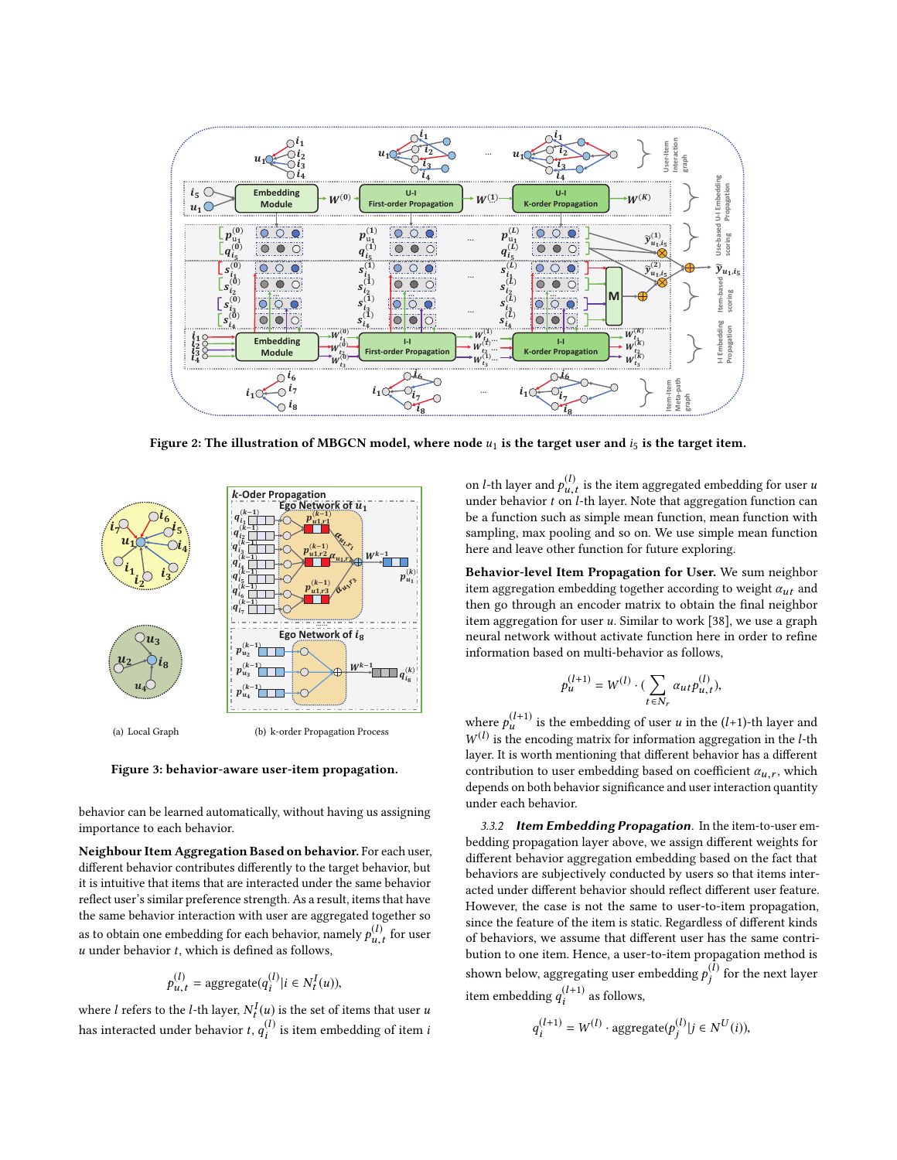<span id="page-3-0"></span>

Figure 2: The illustration of MBGCN model, where node  $u_1$  is the target user and  $i_5$  is the target item.

<span id="page-3-1"></span>

(a) Local Graph

(b) k-order Propagation Process

#### Figure 3: behavior-aware user-item propagation.

behavior can be learned automatically, without having us assigning importance to each behavior.

Neighbour Item Aggregation Based on behavior. For each user, different behavior contributes differently to the target behavior, but it is intuitive that items that are interacted under the same behavior reflect user's similar preference strength. As a result, items that have the same behavior interaction with user are aggregated together so as to obtain one embedding for each behavior, namely  $p_{u,t}^{(l)}$  for user  $\ddot{\phantom{a}}$  $u$  under behavior  $t$ , which is defined as follows,

$$
p_{u,t}^{(l)} = \text{aggregate}(q_i^{(l)} | i \in N_t^I(u)),
$$

where *l* refers to the *l*-th layer,  $N_t^l(u)$  is the set of items that user *u* has interacted under behavior *t*,  $q_i^{(l)}$  is item embedding of item *i*  $\int_{t}^{I}(u)$  is the set of items that user u

on *l*-th layer and  $p_{u,t}^{(l)}$  is the item aggregated embedding for user *u*<br>under behavior *t* on *l* th layer. Note that eggregation function con under behavior  $t$  on  $l$ -th layer. Note that aggregation function can<br>be a function such as simple mean function, mean function with be a function such as simple mean function, mean function with sampling, max pooling and so on. We use simple mean function here and leave other function for future exploring.

Behavior-level Item Propagation for User. We sum neighbor item aggregation embedding together according to weight  $\alpha_{ut}$  and then go through an encoder matrix to obtain the final neighbor item aggregation for user  $u$ . Similar to work [\[38\]](#page-9-20), we use a graph neural network without activate function here in order to refine information based on multi-behavior as follows,

$$
p_u^{(l+1)} = W^{(l)} \cdot (\sum_{t \in N_r} \alpha_{ut} p_{u,t}^{(l)}),
$$

where  $p_u^{(l+1)}$  is the embedding of user u in the (l+1)-th layer and  $W^{(l)}$  is the encoding matrix for information aggregation in the l-th  $W^{(l)}$  is the encoding matrix for information aggregation in the *l*-th layer. It is worth mentioning that different behavior has a different layer. It is worth mentioning that different behavior has a different contribution to user embedding based on coefficient  $\alpha_{u,r}$ , which depends on both behavior significance and user interaction quantity under each behavior.

3.3.2 Item Embedding Propagation. In the item-to-user embedding propagation layer above, we assign different weights for different behavior aggregation embedding based on the fact that behaviors are subjectively conducted by users so that items interacted under different behavior should reflect different user feature. However, the case is not the same to user-to-item propagation, since the feature of the item is static. Regardless of different kinds of behaviors, we assume that different user has the same contribution to one item. Hence, a user-to-item propagation method is shown below, aggregating user embedding  $p_j^{(\bar{l})}$  for the next layer j item embedding  $q_i^{(l+1)}$  as follows,

$$
q_i^{(l+1)} = W^{(l)} \cdot \text{aggregate}(p_j^{(l)}|j \in N^U(i)),
$$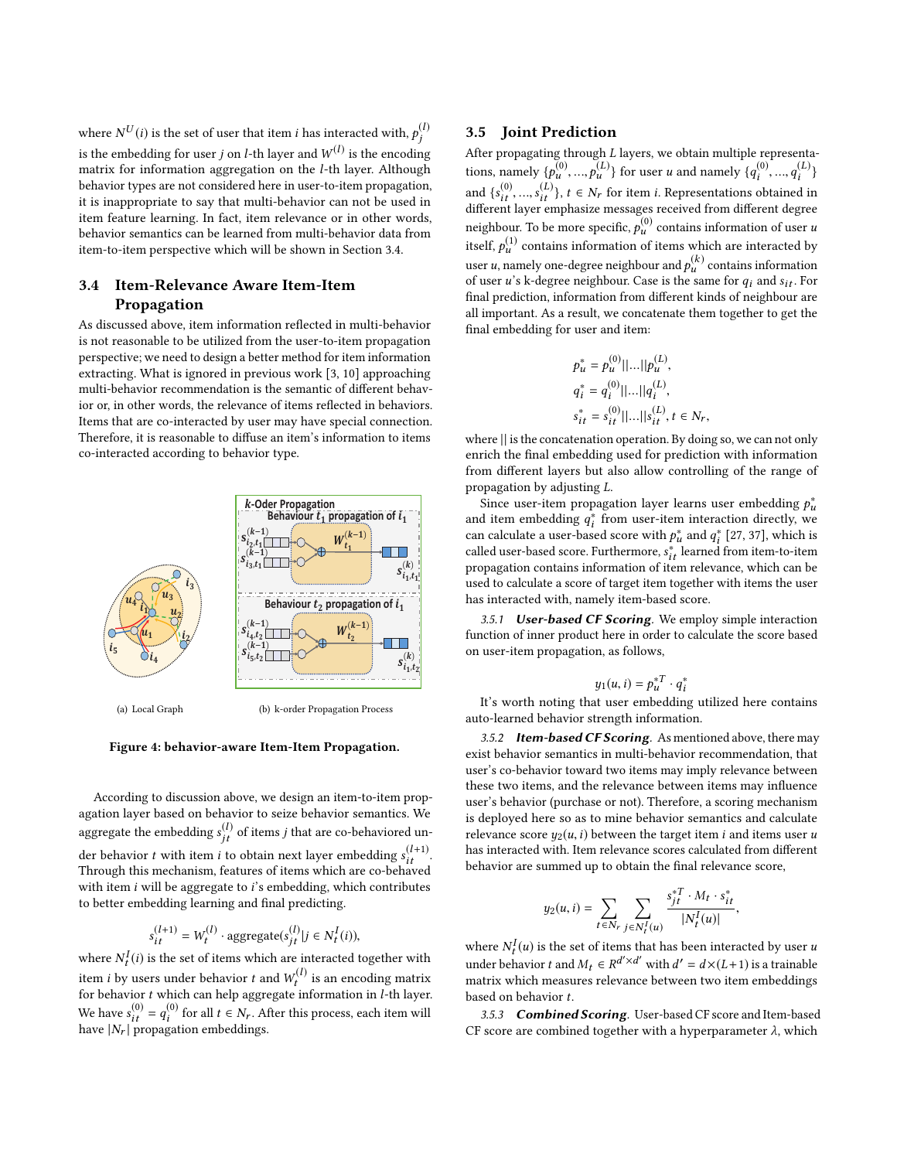where  $N^{U}(i)$  is the set of user that item *i* has interacted with,  $p_j^{(l)}$ is the embedding for user j on *l*-th layer and  $W^{(l)}$  is the encoding<br>matrix for information aggregation on the *l*-th layer. Although matrix for information aggregation on the l-th layer. Although behavior types are not considered here in user-to-item propagation, it is inappropriate to say that multi-behavior can not be used in item feature learning. In fact, item relevance or in other words, behavior semantics can be learned from multi-behavior data from item-to-item perspective which will be shown in Section [3.4.](#page-4-1)

## <span id="page-4-1"></span>3.4 Item-Relevance Aware Item-Item Propagation

As discussed above, item information reflected in multi-behavior is not reasonable to be utilized from the user-to-item propagation perspective; we need to design a better method for item information extracting. What is ignored in previous work [\[3,](#page-9-8) [10\]](#page-9-10) approaching multi-behavior recommendation is the semantic of different behavior or, in other words, the relevance of items reflected in behaviors. Items that are co-interacted by user may have special connection. Therefore, it is reasonable to diffuse an item's information to items co-interacted according to behavior type.

<span id="page-4-0"></span>

(a) Local Graph

(b) k-order Propagation Process

Figure 4: behavior-aware Item-Item Propagation.

According to discussion above, we design an item-to-item propagation layer based on behavior to seize behavior semantics. We aggregate the embedding  $s_{jt}^{(l)}$  of items j that are co-behaviored under behavior t with item i to obtain next layer embedding  $s_{lt}^{(l+1)}$ .<br>Through this mechanism, features of items which are co-behaved Through this mechanism, features of items which are co-behaved with item  $i$  will be aggregate to  $i$ 's embedding, which contributes to better embedding learning and final predicting.

$$
s_{it}^{(l+1)} = W_t^{(l)} \cdot \text{aggregate}(s_{jt}^{(l)} | j \in N_t^I(i)),
$$

where  $N_t^I(i)$  is the set of items which are interacted together with item *i* by users under behavior *t* and  $W_t^{(l)}$  is an encoding matrix<br>for behavior *t* which can beln aggregate information in *l*-th laver for behavior t which can help aggregate information in *l*-th layer. We have  $s_{it}^{(0)} = q_i^{(0)}$ <br>have  $|N_r|$  propaga <sup>(∪)</sup> for all *t* ∈ *N<sub>r</sub>*. After this process, each item will<br>gation embeddings. have  $|N_r|$  propagation embeddings.

#### 3.5 Joint Prediction

After propagating through L layers, we obtain multiple representations, namely  $\{p_{u}^{(0)},...,p_{u}^{(L)}\}$  for user u and namely  $\{q_{i}^{(0)},...,q_{i}^{(L)}\}$ and  ${s_{i,t}^{(0)},...,s_{i,t}^{(L)}}$ ,  $t \in N_r$  for item *i*. Representations obtained in different laver emphasize messages received from different degree different layer emphasize messages received from different degree neighbour. To be more specific,  $p_u^{(0)}$  contains information of user u<br>ital  $\mathcal{L}^{(1)}$  contains information of it was politicle on interested by itself,  $p_u^{(1)}$  contains information of items which are interacted by user u, namely one-degree neighbour and  $p_u^{(k)}$  contains information<br>of user u's k-degree neighbour. Case is the same for  $a_i$  and su. For of user  $u$ 's k-degree neighbour. Case is the same for  $q_i$  and  $s_{it}$ . For final prediction, information from different kinds of neighbour are all important. As a result, we concatenate them together to get the final embedding for user and item:

$$
p_u^* = p_u^{(0)} ||...|| p_u^{(L)},
$$
  
\n
$$
q_i^* = q_i^{(0)} ||...|| q_i^{(L)},
$$
  
\n
$$
s_{it}^* = s_{it}^{(0)} ||...|| s_{it}^{(L)}, t \in \mathbb{N}
$$

 $s_{it}^* = s_{it}^{(0)}||...||s_{it}^{(L)}, t \in N_r,$  where  $||$  is the concatenation operation. By doing so, we can not only enrich the final embedding used for prediction with information from different layers but also allow controlling of the range of propagation by adjusting L.

Since user-item propagation layer learns user embedding  $p_{\mu}^*$  d item embedding  $q^*$  from user-item interaction directly we and item embedding  $q_i^*$  from user-item interaction directly, we<br>can calculate a user-based score with  $\phi^*$  and  $\phi^*$  [27, 37], which is can calculate a user-based score with  $p^*_{\mu}$  and  $q^*_{\bar{i}}$  [\[27,](#page-9-7) [37\]](#page-9-21), which is<br>called user-based score. Furthermore,  $\zeta^*$  learned from item-to-item called user-based score. Furthermore,  $s_{it}^{*}$  learned from item-to-item<br>propagation contains information of item relevance, which can be propagation contains information of item relevance, which can be used to calculate a score of target item together with items the user has interacted with, namely item-based score.

3.5.1 User-based CF Scoring. We employ simple interaction function of inner product here in order to calculate the score based on user-item propagation, as follows,

$$
y_1(u,i) = p_u^{*T} \cdot q_i^*
$$

 $y_1(u, i) = p_u^{*l} \cdot q_i^*$ <br>It's worth noting that user embedding utilized here contains auto-learned behavior strength information.

3.5.2 Item-based CF Scoring. As mentioned above, there may exist behavior semantics in multi-behavior recommendation, that user's co-behavior toward two items may imply relevance between these two items, and the relevance between items may influence user's behavior (purchase or not). Therefore, a scoring mechanism is deployed here so as to mine behavior semantics and calculate relevance score  $y_2(u, i)$  between the target item *i* and items user *u* has interacted with. Item relevance scores calculated from different behavior are summed up to obtain the final relevance score,

$$
y_2(u, i) = \sum_{t \in N_r} \sum_{j \in N_t^I(u)} \frac{s_{jt}^{*T} \cdot M_t \cdot s_{it}^*}{|N_t^I(u)|},
$$

where  $N_t^I(u)$  is the set of items that has been interacted by user u<br>up derived by the set of  $M_c \approx n d' \times d'$  with  $d' = d \times (I + 1)$  is a trained la under behavior t and  $M_t \in R^{d' \times d'}$  with  $d' = d \times (L+1)$  is a trainable<br>matrix which measures relevance between two item embeddings matrix which measures relevance between two item embeddings based on behavior t.

3.5.3 Combined Scoring. User-based CF score and Item-based CF score are combined together with a hyperparameter  $\lambda$ , which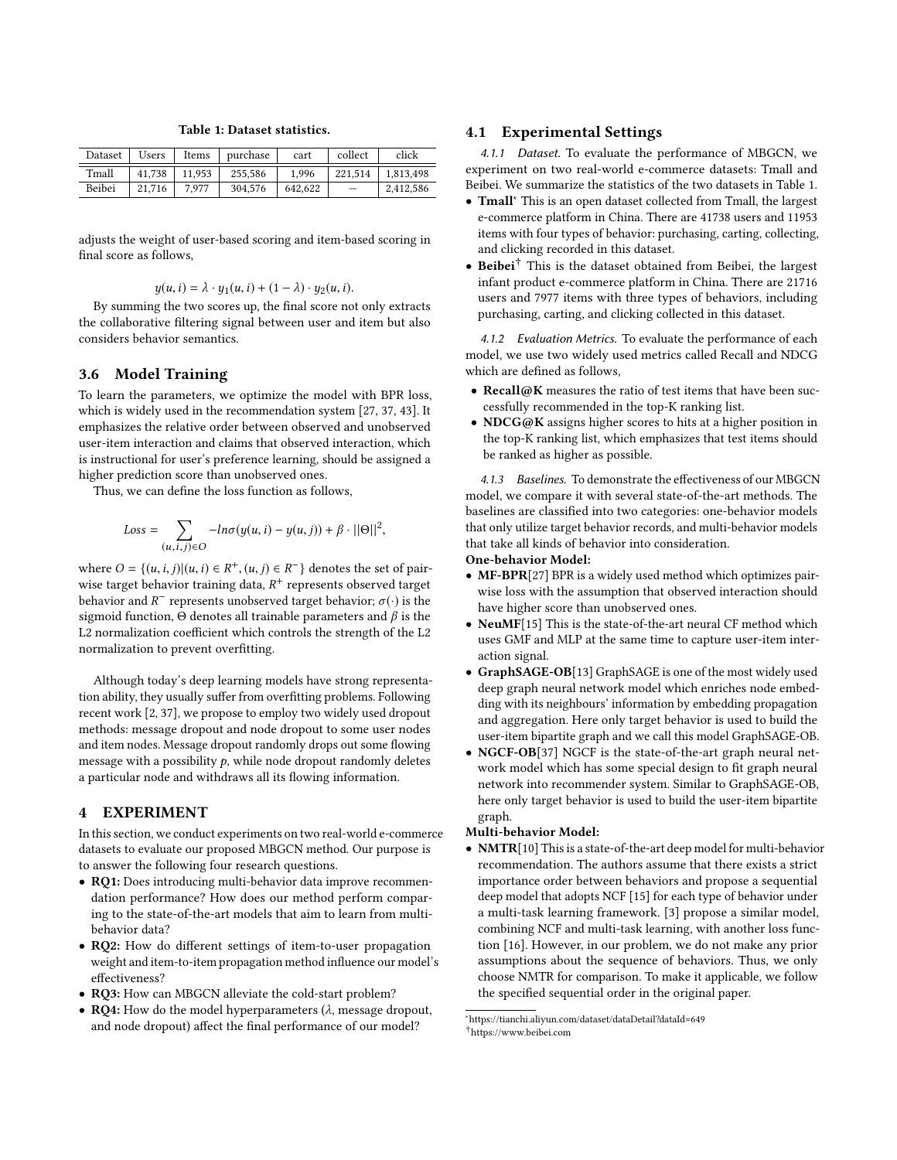<span id="page-5-1"></span>

| Dataset | Users  | Items  | purchase | cart    | collect | click     |
|---------|--------|--------|----------|---------|---------|-----------|
| Tmall   | 41.738 | 11.953 | 255.586  | 1.996   | 221.514 | 1.813.498 |
| Beibei  | 21,716 | 7.977  | 304.576  | 642.622 |         | 2,412,586 |

Table 1: Dataset statistics.

adjusts the weight of user-based scoring and item-based scoring in final score as follows,

$$
y(u, i) = \lambda \cdot y_1(u, i) + (1 - \lambda) \cdot y_2(u, i).
$$

 $y(u, i) = \lambda \cdot y_1(u, i) + (1 - \lambda) \cdot y_2(u, i)$ .<br>By summing the two scores up, the final score not only extracts the collaborative filtering signal between user and item but also considers behavior semantics.

#### 3.6 Model Training

To learn the parameters, we optimize the model with BPR loss, which is widely used in the recommendation system [\[27,](#page-9-7) [37,](#page-9-21) [43\]](#page-9-18). It emphasizes the relative order between observed and unobserved user-item interaction and claims that observed interaction, which is instructional for user's preference learning, should be assigned a higher prediction score than unobserved ones.

Thus, we can define the loss function as follows,

$$
Loss = \sum_{(u,i,j)\in O} -ln\sigma(y(u,i) - y(u,j)) + \beta \cdot ||\Theta||^2,
$$

where  $O = \{(u, i, j) | (u, i) \in R^+, (u, j) \in R^- \}$  denotes the set of pair-<br>wise target behavior training data.  $R^+$  represents observed target wise target behavior training data,  $R^+$  represents observed target<br>behavior and  $R^-$  represents upobserved target behavior:  $\sigma(.)$  is the behavior and  $R^-$  represents unobserved target behavior;  $\sigma(\cdot)$  is the sigmoid function.  $\Theta$  denotes all trainable parameters and  $\beta$  is the sigmoid function,  $Θ$  denotes all trainable parameters and  $β$  is the L2 normalization coefficient which controls the strength of the L2 normalization to prevent overfitting.

Although today's deep learning models have strong representation ability, they usually suffer from overfitting problems. Following recent work [\[2,](#page-9-22) [37\]](#page-9-21), we propose to employ two widely used dropout methods: message dropout and node dropout to some user nodes and item nodes. Message dropout randomly drops out some flowing message with a possibility  $p$ , while node dropout randomly deletes a particular node and withdraws all its flowing information.

## <span id="page-5-0"></span>4 EXPERIMENT

In this section, we conduct experiments on two real-world e-commerce datasets to evaluate our proposed MBGCN method. Our purpose is to answer the following four research questions.

- RQ1: Does introducing multi-behavior data improve recommendation performance? How does our method perform comparing to the state-of-the-art models that aim to learn from multibehavior data?
- RQ2: How do different settings of item-to-user propagation weight and item-to-item propagation method influence our model's effectiveness?
- RQ3: How can MBGCN alleviate the cold-start problem?
- RQ4: How do the model hyperparameters  $(\lambda)$ , message dropout, and node dropout) affect the final performance of our model?

#### 4.1 Experimental Settings

4.1.1 Dataset. To evaluate the performance of MBGCN, we experiment on two real-world e-commerce datasets: Tmall and Beibei. We summarize the statistics of the two datasets in Table [1.](#page-5-1)

- Tmall[∗](#page-0-0) This is an open dataset collected from Tmall, the largest e-commerce platform in China. There are 41738 users and 11953 items with four types of behavior: purchasing, carting, collecting, and clicking recorded in this dataset.
- Beibei[†](#page-0-0) This is the dataset obtained from Beibei, the largest infant product e-commerce platform in China. There are 21716 users and 7977 items with three types of behaviors, including purchasing, carting, and clicking collected in this dataset.

4.1.2 Evaluation Metrics. To evaluate the performance of each model, we use two widely used metrics called Recall and NDCG which are defined as follows,

- Recall@K measures the ratio of test items that have been successfully recommended in the top-K ranking list.
- NDCG@K assigns higher scores to hits at a higher position in the top-K ranking list, which emphasizes that test items should be ranked as higher as possible.

4.1.3 Baselines. To demonstrate the effectiveness of our MBGCN model, we compare it with several state-of-the-art methods. The baselines are classified into two categories: one-behavior models that only utilize target behavior records, and multi-behavior models that take all kinds of behavior into consideration.

#### One-behavior Model:

- MF-BPR[\[27\]](#page-9-7) BPR is a widely used method which optimizes pairwise loss with the assumption that observed interaction should have higher score than unobserved ones.
- NeuMF[\[15\]](#page-9-23) This is the state-of-the-art neural CF method which uses GMF and MLP at the same time to capture user-item interaction signal.
- GraphSAGE-OB[\[13\]](#page-9-24) GraphSAGE is one of the most widely used deep graph neural network model which enriches node embedding with its neighbours' information by embedding propagation and aggregation. Here only target behavior is used to build the user-item bipartite graph and we call this model GraphSAGE-OB.
- NGCF-OB[\[37\]](#page-9-21) NGCF is the state-of-the-art graph neural network model which has some special design to fit graph neural network into recommender system. Similar to GraphSAGE-OB, here only target behavior is used to build the user-item bipartite graph.

#### Multi-behavior Model:

• NMTR[\[10\]](#page-9-10) This is a state-of-the-art deep model for multi-behavior recommendation. The authors assume that there exists a strict importance order between behaviors and propose a sequential deep model that adopts NCF [\[15\]](#page-9-23) for each type of behavior under a multi-task learning framework. [\[3\]](#page-9-8) propose a similar model, combining NCF and multi-task learning, with another loss function [\[16\]](#page-9-25). However, in our problem, we do not make any prior assumptions about the sequence of behaviors. Thus, we only choose NMTR for comparison. To make it applicable, we follow the specified sequential order in the original paper.

<sup>∗</sup>https://tianchi.aliyun.com/dataset/dataDetail?dataId=649 †https://www.beibei.com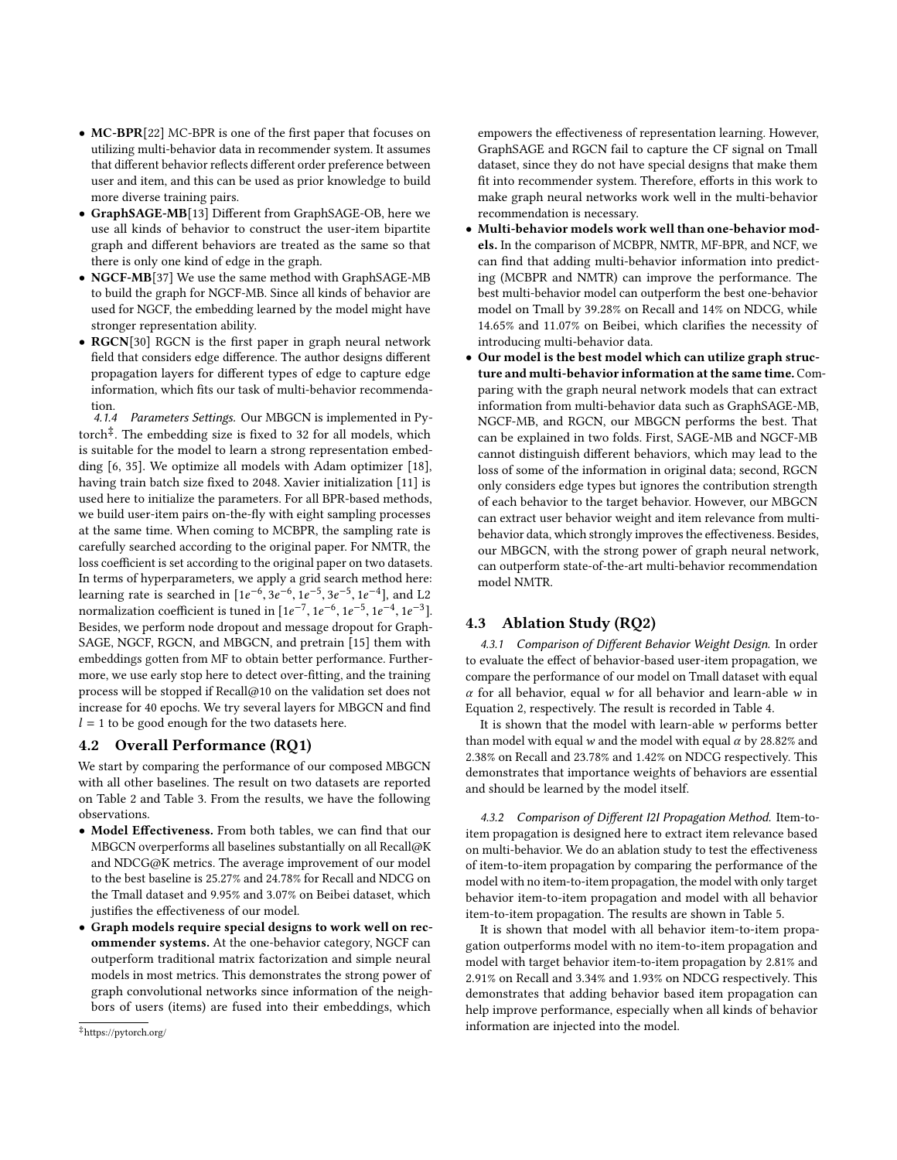- MC-BPR[\[22\]](#page-9-11) MC-BPR is one of the first paper that focuses on utilizing multi-behavior data in recommender system. It assumes that different behavior reflects different order preference between user and item, and this can be used as prior knowledge to build more diverse training pairs.
- GraphSAGE-MB[\[13\]](#page-9-24) Different from GraphSAGE-OB, here we use all kinds of behavior to construct the user-item bipartite graph and different behaviors are treated as the same so that there is only one kind of edge in the graph.
- NGCF-MB[\[37\]](#page-9-21) We use the same method with GraphSAGE-MB to build the graph for NGCF-MB. Since all kinds of behavior are used for NGCF, the embedding learned by the model might have stronger representation ability.
- RGCN[\[30\]](#page-9-26) RGCN is the first paper in graph neural network field that considers edge difference. The author designs different propagation layers for different types of edge to capture edge information, which fits our task of multi-behavior recommendation.

<span id="page-6-0"></span>4.1.4 Parameters Settings. Our MBGCN is implemented in Pytorch[‡](#page-0-0) . The embedding size is fixed to 32 for all models, which is suitable for the model to learn a strong representation embedding [\[6,](#page-9-27) [35\]](#page-9-28). We optimize all models with Adam optimizer [\[18\]](#page-9-29), having train batch size fixed to 2048. Xavier initialization [\[11\]](#page-9-30) is used here to initialize the parameters. For all BPR-based methods, we build user-item pairs on-the-fly with eight sampling processes at the same time. When coming to MCBPR, the sampling rate is carefully searched according to the original paper. For NMTR, the loss coefficient is set according to the original paper on two datasets. In terms of hyperparameters, we apply a grid search method here: learning rate is searched in  $[1e^{-6}, 3e^{-6}, 1e^{-5}, 3e^{-5}, 1e^{-4}]$ , and L2<br>normalization coefficient is tuned in  $[1e^{-7}, 1e^{-6}, 1e^{-5}, 1e^{-4}, 1e^{-3}]$ normalization coefficient is tuned in  $[1e^{-7}, 1e^{-6}, 1e^{-5}, 1e^{-4}, 1e^{-3}]$ .<br>Besides we perform node dropout and message dropout for Graph-Besides, we perform node dropout and message dropout for Graph-SAGE, NGCF, RGCN, and MBGCN, and pretrain [\[15\]](#page-9-23) them with embeddings gotten from MF to obtain better performance. Furthermore, we use early stop here to detect over-fitting, and the training process will be stopped if Recall@10 on the validation set does not increase for 40 epochs. We try several layers for MBGCN and find  $l = 1$  to be good enough for the two datasets here.<br>**4.2 Overall Performance (RO1)** 

#### Overall Performance (RQ1)

We start by comparing the performance of our composed MBGCN with all other baselines. The result on two datasets are reported on Table [2](#page-7-0) and Table [3.](#page-7-1) From the results, we have the following observations.

- Model Effectiveness. From both tables, we can find that our MBGCN overperforms all baselines substantially on all Recall@K and NDCG@K metrics. The average improvement of our model to the best baseline is 25.27% and 24.78% for Recall and NDCG on the Tmall dataset and 9.95% and 3.07% on Beibei dataset, which justifies the effectiveness of our model.
- Graph models require special designs to work well on recommender systems. At the one-behavior category, NGCF can outperform traditional matrix factorization and simple neural models in most metrics. This demonstrates the strong power of graph convolutional networks since information of the neighbors of users (items) are fused into their embeddings, which

empowers the effectiveness of representation learning. However, GraphSAGE and RGCN fail to capture the CF signal on Tmall dataset, since they do not have special designs that make them fit into recommender system. Therefore, efforts in this work to make graph neural networks work well in the multi-behavior recommendation is necessary.

- Multi-behavior models work well than one-behavior models. In the comparison of MCBPR, NMTR, MF-BPR, and NCF, we can find that adding multi-behavior information into predicting (MCBPR and NMTR) can improve the performance. The best multi-behavior model can outperform the best one-behavior model on Tmall by 39.28% on Recall and 14% on NDCG, while 14.65% and 11.07% on Beibei, which clarifies the necessity of introducing multi-behavior data.
- Our model is the best model which can utilize graph structure and multi-behavior information at the same time. Comparing with the graph neural network models that can extract information from multi-behavior data such as GraphSAGE-MB, NGCF-MB, and RGCN, our MBGCN performs the best. That can be explained in two folds. First, SAGE-MB and NGCF-MB cannot distinguish different behaviors, which may lead to the loss of some of the information in original data; second, RGCN only considers edge types but ignores the contribution strength of each behavior to the target behavior. However, our MBGCN can extract user behavior weight and item relevance from multibehavior data, which strongly improves the effectiveness. Besides, our MBGCN, with the strong power of graph neural network, can outperform state-of-the-art multi-behavior recommendation model NMTR.

#### 4.3 Ablation Study (RQ2)

4.3.1 Comparison of Different Behavior Weight Design. In order to evaluate the effect of behavior-based user-item propagation, we compare the performance of our model on Tmall dataset with equal  $\alpha$  for all behavior, equal w for all behavior and learn-able w in Equation [2,](#page-2-1) respectively. The result is recorded in Table [4.](#page-7-2)

It is shown that the model with learn-able w performs better than model with equal w and the model with equal  $\alpha$  by 28.82% and 2.38% on Recall and 23.78% and 1.42% on NDCG respectively. This demonstrates that importance weights of behaviors are essential and should be learned by the model itself.

4.3.2 Comparison of Different I2I Propagation Method. Item-toitem propagation is designed here to extract item relevance based on multi-behavior. We do an ablation study to test the effectiveness of item-to-item propagation by comparing the performance of the model with no item-to-item propagation, the model with only target behavior item-to-item propagation and model with all behavior item-to-item propagation. The results are shown in Table [5.](#page-7-3)

It is shown that model with all behavior item-to-item propagation outperforms model with no item-to-item propagation and model with target behavior item-to-item propagation by 2.81% and 2.91% on Recall and 3.34% and 1.93% on NDCG respectively. This demonstrates that adding behavior based item propagation can help improve performance, especially when all kinds of behavior information are injected into the model.

<sup>‡</sup>https://pytorch.org/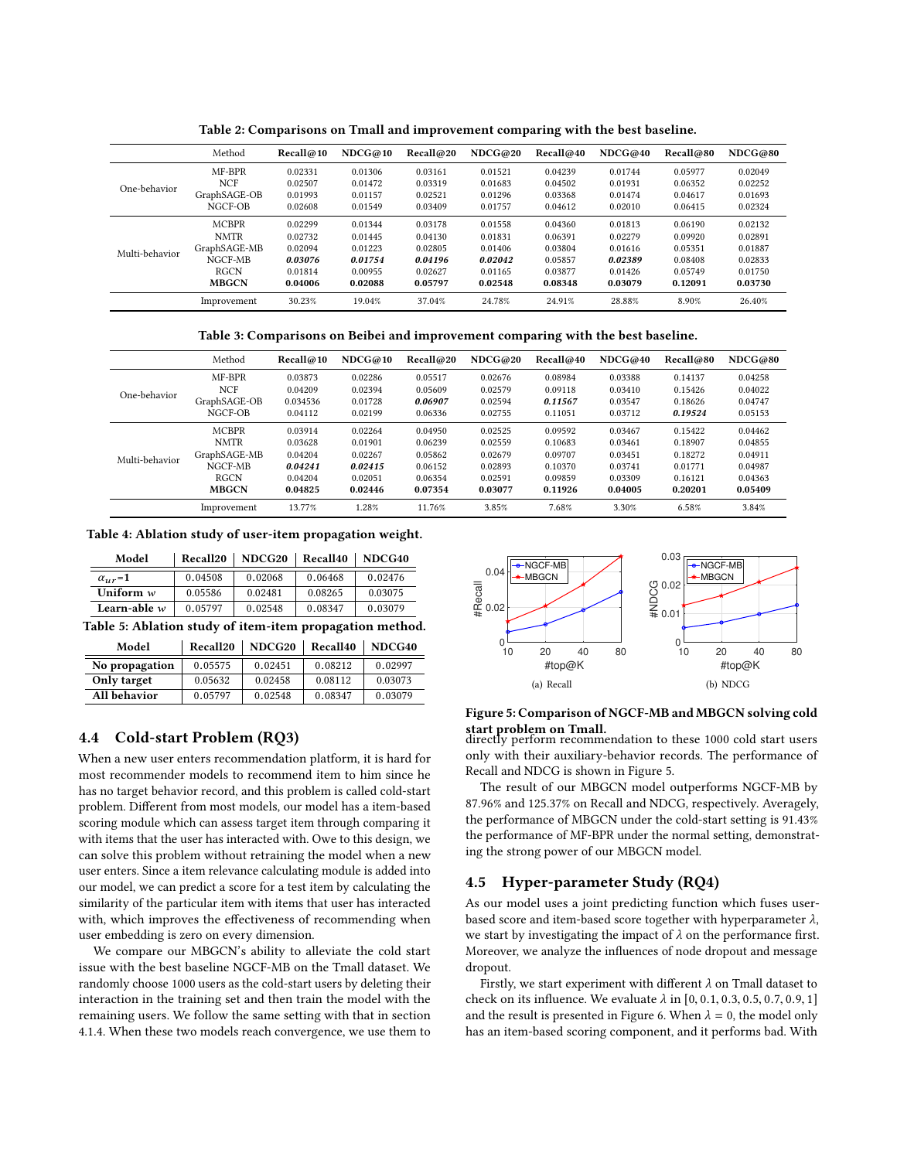<span id="page-7-0"></span>

|                | Method       | Recall@10 | NDCG@10 | Recall@20 | NDCG@20 | Recall@40 | NDCG@40 | Recall@80 | NDCG@80 |
|----------------|--------------|-----------|---------|-----------|---------|-----------|---------|-----------|---------|
| One-behavior   | MF-BPR       | 0.02331   | 0.01306 | 0.03161   | 0.01521 | 0.04239   | 0.01744 | 0.05977   | 0.02049 |
|                | <b>NCF</b>   | 0.02507   | 0.01472 | 0.03319   | 0.01683 | 0.04502   | 0.01931 | 0.06352   | 0.02252 |
|                | GraphSAGE-OB | 0.01993   | 0.01157 | 0.02521   | 0.01296 | 0.03368   | 0.01474 | 0.04617   | 0.01693 |
|                | NGCF-OB      | 0.02608   | 0.01549 | 0.03409   | 0.01757 | 0.04612   | 0.02010 | 0.06415   | 0.02324 |
| Multi-behavior | <b>MCBPR</b> | 0.02299   | 0.01344 | 0.03178   | 0.01558 | 0.04360   | 0.01813 | 0.06190   | 0.02132 |
|                | <b>NMTR</b>  | 0.02732   | 0.01445 | 0.04130   | 0.01831 | 0.06391   | 0.02279 | 0.09920   | 0.02891 |
|                | GraphSAGE-MB | 0.02094   | 0.01223 | 0.02805   | 0.01406 | 0.03804   | 0.01616 | 0.05351   | 0.01887 |
|                | NGCF-MB      | 0.03076   | 0.01754 | 0.04196   | 0.02042 | 0.05857   | 0.02389 | 0.08408   | 0.02833 |
|                | <b>RGCN</b>  | 0.01814   | 0.00955 | 0.02627   | 0.01165 | 0.03877   | 0.01426 | 0.05749   | 0.01750 |
|                | <b>MBGCN</b> | 0.04006   | 0.02088 | 0.05797   | 0.02548 | 0.08348   | 0.03079 | 0.12091   | 0.03730 |
|                | Improvement  | 30.23%    | 19.04%  | 37.04%    | 24.78%  | 24.91%    | 28.88%  | 8.90%     | 26.40%  |

Table 2: Comparisons on Tmall and improvement comparing with the best baseline.

Table 3: Comparisons on Beibei and improvement comparing with the best baseline.

<span id="page-7-1"></span>

|                | Method       | Recall@10 | NDCG@10 | Recall@20 | NDCG@20 | Recall@40 | NDCG@40 | Recall@80 | NDCG@80 |
|----------------|--------------|-----------|---------|-----------|---------|-----------|---------|-----------|---------|
| One-behavior   | MF-BPR       | 0.03873   | 0.02286 | 0.05517   | 0.02676 | 0.08984   | 0.03388 | 0.14137   | 0.04258 |
|                | <b>NCF</b>   | 0.04209   | 0.02394 | 0.05609   | 0.02579 | 0.09118   | 0.03410 | 0.15426   | 0.04022 |
|                | GraphSAGE-OB | 0.034536  | 0.01728 | 0.06907   | 0.02594 | 0.11567   | 0.03547 | 0.18626   | 0.04747 |
|                | NGCF-OB      | 0.04112   | 0.02199 | 0.06336   | 0.02755 | 0.11051   | 0.03712 | 0.19524   | 0.05153 |
| Multi-behavior | <b>MCBPR</b> | 0.03914   | 0.02264 | 0.04950   | 0.02525 | 0.09592   | 0.03467 | 0.15422   | 0.04462 |
|                | <b>NMTR</b>  | 0.03628   | 0.01901 | 0.06239   | 0.02559 | 0.10683   | 0.03461 | 0.18907   | 0.04855 |
|                | GraphSAGE-MB | 0.04204   | 0.02267 | 0.05862   | 0.02679 | 0.09707   | 0.03451 | 0.18272   | 0.04911 |
|                | NGCF-MB      | 0.04241   | 0.02415 | 0.06152   | 0.02893 | 0.10370   | 0.03741 | 0.01771   | 0.04987 |
|                | <b>RGCN</b>  | 0.04204   | 0.02051 | 0.06354   | 0.02591 | 0.09859   | 0.03309 | 0.16121   | 0.04363 |
|                | <b>MBGCN</b> | 0.04825   | 0.02446 | 0.07354   | 0.03077 | 0.11926   | 0.04005 | 0.20201   | 0.05409 |
|                | Improvement  | 13.77%    | 1.28%   | 11.76%    | 3.85%   | 7.68%     | 3.30%   | 6.58%     | 3.84%   |

<span id="page-7-2"></span>Table 4: Ablation study of user-item propagation weight.

| Model                                                    | Recall20 | NDCG <sub>20</sub> | Recall40 | NDCG40  |  |  |  |
|----------------------------------------------------------|----------|--------------------|----------|---------|--|--|--|
| $\alpha_{\mu r}$ =1                                      | 0.04508  | 0.02068            | 0.06468  | 0.02476 |  |  |  |
| Uniform $w$                                              | 0.05586  | 0.02481            | 0.08265  | 0.03075 |  |  |  |
| Learn-able $w$                                           | 0.05797  | 0.02548            | 0.08347  | 0.03079 |  |  |  |
| Table 5: Ablation study of item-item propagation method. |          |                    |          |         |  |  |  |

<span id="page-7-3"></span>

| Model          | Recall20 | NDCG <sub>20</sub> | Recall40 | NDCG40  |
|----------------|----------|--------------------|----------|---------|
| No propagation | 0.05575  | 0.02451            | 0.08212  | 0.02997 |
| Only target    | 0.05632  | 0.02458            | 0.08112  | 0.03073 |
| All behavior   | 0.05797  | 0.02548            | 0.08347  | 0.03079 |
|                |          |                    |          |         |

## 4.4 Cold-start Problem (RQ3)

When a new user enters recommendation platform, it is hard for most recommender models to recommend item to him since he has no target behavior record, and this problem is called cold-start problem. Different from most models, our model has a item-based scoring module which can assess target item through comparing it with items that the user has interacted with. Owe to this design, we can solve this problem without retraining the model when a new user enters. Since a item relevance calculating module is added into our model, we can predict a score for a test item by calculating the similarity of the particular item with items that user has interacted with, which improves the effectiveness of recommending when user embedding is zero on every dimension.

We compare our MBGCN's ability to alleviate the cold start issue with the best baseline NGCF-MB on the Tmall dataset. We randomly choose 1000 users as the cold-start users by deleting their interaction in the training set and then train the model with the remaining users. We follow the same setting with that in section [4.1.4.](#page-6-0) When these two models reach convergence, we use them to

<span id="page-7-4"></span>

# Figure 5: Comparison of NGCF-MB and MBGCN solving cold

start problem on Tmall. directly perform recommendation to these 1000 cold start users only with their auxiliary-behavior records. The performance of Recall and NDCG is shown in Figure [5.](#page-7-4)

The result of our MBGCN model outperforms NGCF-MB by 87.96% and 125.37% on Recall and NDCG, respectively. Averagely, the performance of MBGCN under the cold-start setting is 91.43% the performance of MF-BPR under the normal setting, demonstrating the strong power of our MBGCN model.

## 4.5 Hyper-parameter Study (RQ4)

As our model uses a joint predicting function which fuses userbased score and item-based score together with hyperparameter  $\lambda$ , we start by investigating the impact of  $\lambda$  on the performance first. Moreover, we analyze the influences of node dropout and message dropout.

Firstly, we start experiment with different  $\lambda$  on Tmall dataset to check on its influence. We evaluate  $λ$  in  $[0, 0.1, 0.3, 0.5, 0.7, 0.9, 1]$ and the result is presented in Figure [6.](#page-8-1) When  $\lambda = 0$ , the model only has an item-based scoring component, and it performs bad. With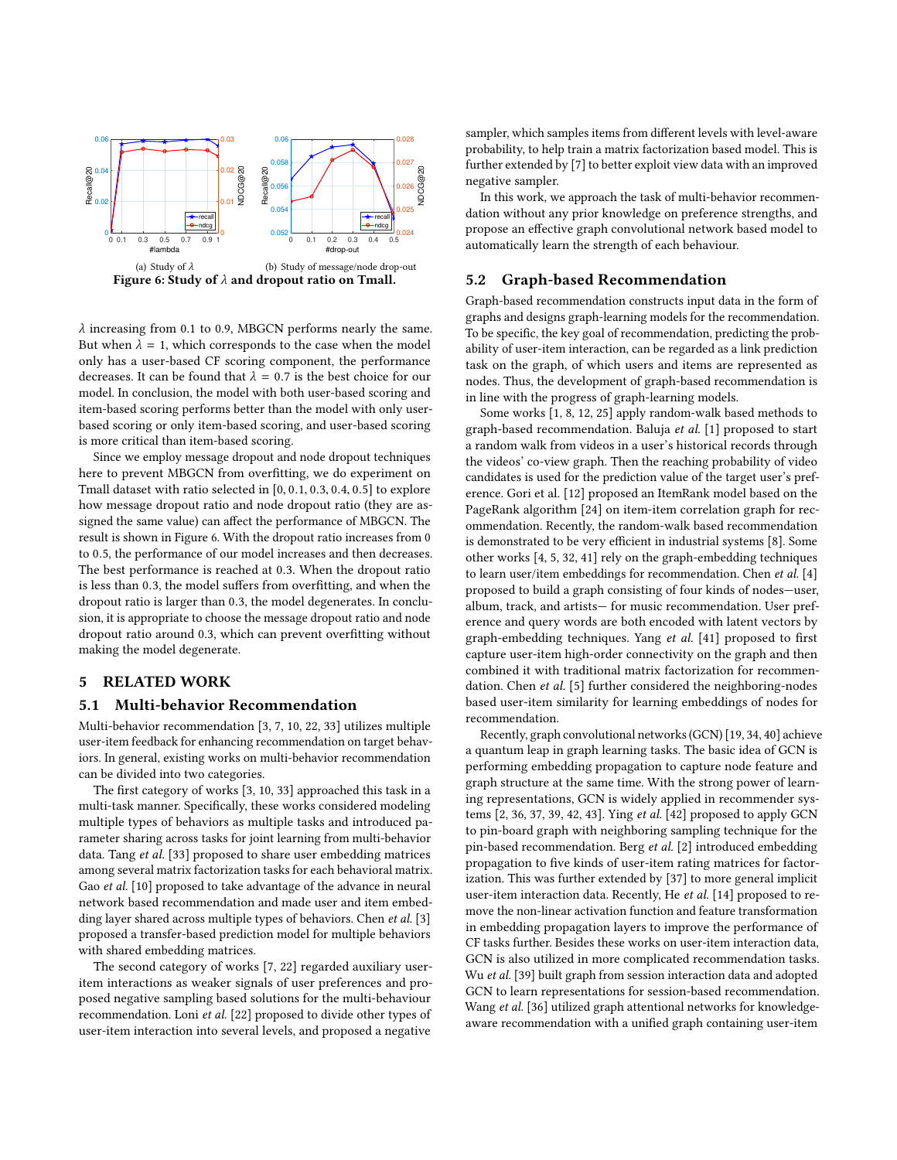<span id="page-8-1"></span>

 $\lambda$  increasing from 0.1 to 0.9, MBGCN performs nearly the same. But when  $\lambda = 1$ , which corresponds to the case when the model only has a user-based CF scoring component, the performance decreases. It can be found that  $\lambda = 0.7$  is the best choice for our model. In conclusion, the model with both user-based scoring and item-based scoring performs better than the model with only userbased scoring or only item-based scoring, and user-based scoring is more critical than item-based scoring.

Since we employ message dropout and node dropout techniques here to prevent MBGCN from overfitting, we do experiment on Tmall dataset with ratio selected in [0, <sup>0</sup>.1, <sup>0</sup>.3, <sup>0</sup>.4, <sup>0</sup>.5] to explore how message dropout ratio and node dropout ratio (they are assigned the same value) can affect the performance of MBGCN. The result is shown in Figure [6.](#page-8-1) With the dropout ratio increases from 0 to <sup>0</sup>.5, the performance of our model increases and then decreases. The best performance is reached at <sup>0</sup>.3. When the dropout ratio is less than <sup>0</sup>.3, the model suffers from overfitting, and when the dropout ratio is larger than <sup>0</sup>.3, the model degenerates. In conclusion, it is appropriate to choose the message dropout ratio and node dropout ratio around 0.3, which can prevent overfitting without making the model degenerate.

## <span id="page-8-0"></span>5 RELATED WORK

#### 5.1 Multi-behavior Recommendation

Multi-behavior recommendation [\[3,](#page-9-8) [7,](#page-9-9) [10,](#page-9-10) [22,](#page-9-11) [33\]](#page-9-14) utilizes multiple user-item feedback for enhancing recommendation on target behaviors. In general, existing works on multi-behavior recommendation can be divided into two categories.

The first category of works [\[3,](#page-9-8) [10,](#page-9-10) [33\]](#page-9-14) approached this task in a multi-task manner. Specifically, these works considered modeling multiple types of behaviors as multiple tasks and introduced parameter sharing across tasks for joint learning from multi-behavior data. Tang et al. [\[33\]](#page-9-14) proposed to share user embedding matrices among several matrix factorization tasks for each behavioral matrix. Gao et al. [\[10\]](#page-9-10) proposed to take advantage of the advance in neural network based recommendation and made user and item embed-ding layer shared across multiple types of behaviors. Chen et al. [\[3\]](#page-9-8) proposed a transfer-based prediction model for multiple behaviors with shared embedding matrices.

The second category of works [\[7,](#page-9-9) [22\]](#page-9-11) regarded auxiliary useritem interactions as weaker signals of user preferences and proposed negative sampling based solutions for the multi-behaviour recommendation. Loni et al. [\[22\]](#page-9-11) proposed to divide other types of user-item interaction into several levels, and proposed a negative sampler, which samples items from different levels with level-aware probability, to help train a matrix factorization based model. This is further extended by [\[7\]](#page-9-9) to better exploit view data with an improved negative sampler.

In this work, we approach the task of multi-behavior recommendation without any prior knowledge on preference strengths, and propose an effective graph convolutional network based model to automatically learn the strength of each behaviour.

#### 5.2 Graph-based Recommendation

Graph-based recommendation constructs input data in the form of graphs and designs graph-learning models for the recommendation. To be specific, the key goal of recommendation, predicting the probability of user-item interaction, can be regarded as a link prediction task on the graph, of which users and items are represented as nodes. Thus, the development of graph-based recommendation is in line with the progress of graph-learning models.

Some works [\[1,](#page-9-31) [8,](#page-9-32) [12,](#page-9-33) [25\]](#page-9-34) apply random-walk based methods to graph-based recommendation. Baluja et al. [\[1\]](#page-9-31) proposed to start a random walk from videos in a user's historical records through the videos' co-view graph. Then the reaching probability of video candidates is used for the prediction value of the target user's preference. Gori et al. [\[12\]](#page-9-33) proposed an ItemRank model based on the PageRank algorithm [\[24\]](#page-9-35) on item-item correlation graph for recommendation. Recently, the random-walk based recommendation is demonstrated to be very efficient in industrial systems [\[8\]](#page-9-32). Some other works [\[4,](#page-9-36) [5,](#page-9-37) [32,](#page-9-38) [41\]](#page-9-39) rely on the graph-embedding techniques to learn user/item embeddings for recommendation. Chen et al. [\[4\]](#page-9-36) proposed to build a graph consisting of four kinds of nodes—user, album, track, and artists— for music recommendation. User preference and query words are both encoded with latent vectors by graph-embedding techniques. Yang et al. [\[41\]](#page-9-39) proposed to first capture user-item high-order connectivity on the graph and then combined it with traditional matrix factorization for recommen-dation. Chen et al. [\[5\]](#page-9-37) further considered the neighboring-nodes based user-item similarity for learning embeddings of nodes for recommendation.

Recently, graph convolutional networks (GCN) [\[19,](#page-9-19) [34,](#page-9-40) [40\]](#page-9-41) achieve a quantum leap in graph learning tasks. The basic idea of GCN is performing embedding propagation to capture node feature and graph structure at the same time. With the strong power of learning representations, GCN is widely applied in recommender systems [\[2,](#page-9-22) [36,](#page-9-42) [37,](#page-9-21) [39,](#page-9-43) [42,](#page-9-17) [43\]](#page-9-18). Ying et al. [\[42\]](#page-9-17) proposed to apply GCN to pin-board graph with neighboring sampling technique for the pin-based recommendation. Berg et al. [\[2\]](#page-9-22) introduced embedding propagation to five kinds of user-item rating matrices for factorization. This was further extended by [\[37\]](#page-9-21) to more general implicit user-item interaction data. Recently, He et al. [\[14\]](#page-9-44) proposed to remove the non-linear activation function and feature transformation in embedding propagation layers to improve the performance of CF tasks further. Besides these works on user-item interaction data, GCN is also utilized in more complicated recommendation tasks. Wu et al. [\[39\]](#page-9-43) built graph from session interaction data and adopted GCN to learn representations for session-based recommendation. Wang et al. [\[36\]](#page-9-42) utilized graph attentional networks for knowledgeaware recommendation with a unified graph containing user-item